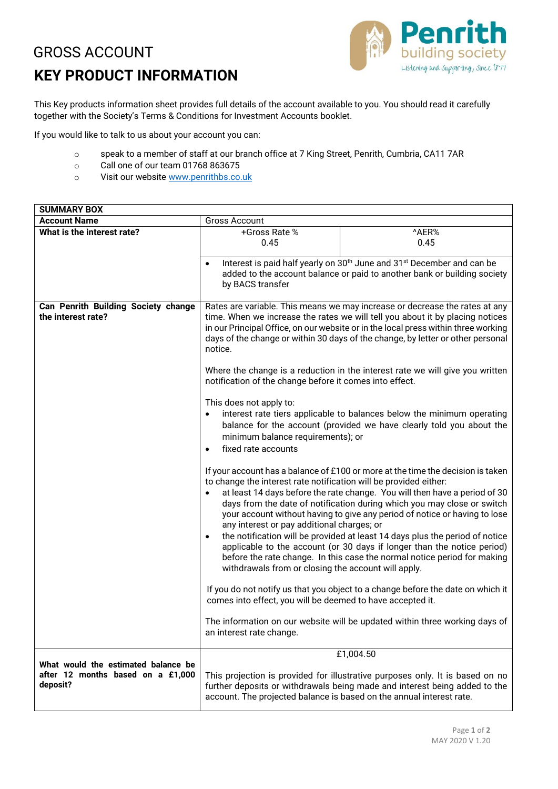## GROSS ACCOUNT **KEY PRODUCT INFORMATION**



This Key products information sheet provides full details of the account available to you. You should read it carefully together with the Society's Terms & Conditions for Investment Accounts booklet.

If you would like to talk to us about your account you can:

- o speak to a member of staff at our branch office at 7 King Street, Penrith, Cumbria, CA11 7AR
- o Call one of our team 01768 863675
- o Visit our website www.penrithbs.co.uk

| <b>SUMMARY BOX</b>                  |                                                                                                                                                             |                                                                              |
|-------------------------------------|-------------------------------------------------------------------------------------------------------------------------------------------------------------|------------------------------------------------------------------------------|
| <b>Account Name</b>                 | <b>Gross Account</b>                                                                                                                                        |                                                                              |
| What is the interest rate?          | +Gross Rate %                                                                                                                                               | ^AER%                                                                        |
|                                     | 0.45                                                                                                                                                        | 0.45                                                                         |
|                                     | Interest is paid half yearly on 30 <sup>th</sup> June and 31 <sup>st</sup> December and can be<br>$\bullet$                                                 |                                                                              |
|                                     | added to the account balance or paid to another bank or building society                                                                                    |                                                                              |
|                                     | by BACS transfer                                                                                                                                            |                                                                              |
| Can Penrith Building Society change | Rates are variable. This means we may increase or decrease the rates at any                                                                                 |                                                                              |
| the interest rate?                  | time. When we increase the rates we will tell you about it by placing notices                                                                               |                                                                              |
|                                     | in our Principal Office, on our website or in the local press within three working                                                                          |                                                                              |
|                                     | days of the change or within 30 days of the change, by letter or other personal<br>notice.                                                                  |                                                                              |
|                                     |                                                                                                                                                             |                                                                              |
|                                     | Where the change is a reduction in the interest rate we will give you written<br>notification of the change before it comes into effect.                    |                                                                              |
|                                     | This does not apply to:                                                                                                                                     |                                                                              |
|                                     | interest rate tiers applicable to balances below the minimum operating                                                                                      |                                                                              |
|                                     | balance for the account (provided we have clearly told you about the                                                                                        |                                                                              |
|                                     | minimum balance requirements); or                                                                                                                           |                                                                              |
|                                     | fixed rate accounts<br>$\bullet$                                                                                                                            |                                                                              |
|                                     | If your account has a balance of £100 or more at the time the decision is taken<br>to change the interest rate notification will be provided either:        |                                                                              |
|                                     | at least 14 days before the rate change. You will then have a period of 30                                                                                  |                                                                              |
|                                     | days from the date of notification during which you may close or switch                                                                                     |                                                                              |
|                                     | your account without having to give any period of notice or having to lose<br>any interest or pay additional charges; or                                    |                                                                              |
|                                     |                                                                                                                                                             | the notification will be provided at least 14 days plus the period of notice |
|                                     |                                                                                                                                                             | applicable to the account (or 30 days if longer than the notice period)      |
|                                     |                                                                                                                                                             | before the rate change. In this case the normal notice period for making     |
|                                     | withdrawals from or closing the account will apply.                                                                                                         |                                                                              |
|                                     | If you do not notify us that you object to a change before the date on which it                                                                             |                                                                              |
|                                     | comes into effect, you will be deemed to have accepted it.                                                                                                  |                                                                              |
|                                     |                                                                                                                                                             |                                                                              |
|                                     | an interest rate change.                                                                                                                                    | The information on our website will be updated within three working days of  |
|                                     |                                                                                                                                                             |                                                                              |
| What would the estimated balance be | £1,004.50                                                                                                                                                   |                                                                              |
| after 12 months based on a £1,000   | This projection is provided for illustrative purposes only. It is based on no<br>further deposits or withdrawals being made and interest being added to the |                                                                              |
| deposit?                            |                                                                                                                                                             |                                                                              |
|                                     | account. The projected balance is based on the annual interest rate.                                                                                        |                                                                              |